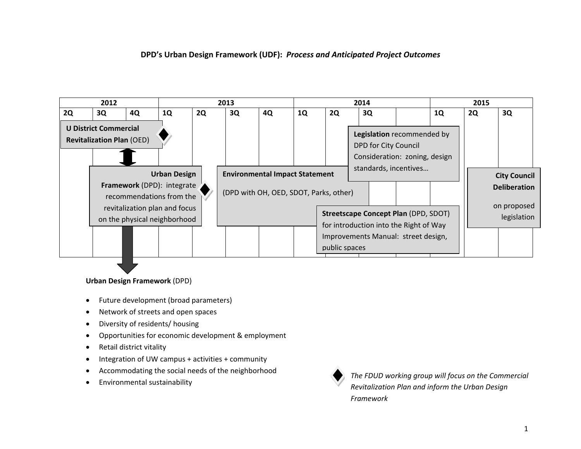### **DPD's Urban Design Framework (UDF):** *Process and Anticipated Project Outcomes*



#### **Urban Design Framework** (DPD)

- $\bullet$ Future development (broad parameters)
- 0 • Network of streets and open spaces
- $\bullet$ Diversity of residents/ housing
- $\bullet$ Opportunities for economic development & employment
- $\bullet$ Retail district vitality
- $\bullet$ Integration of UW campus <sup>+</sup> activities <sup>+</sup> community
- $\bullet$ Accommodating the social needs of the neighborhood
- $\bullet$ Environmental sustainability



*The FDUD working group will focus on the Commercial Revitalization Plan and inform the Urban Design Framework*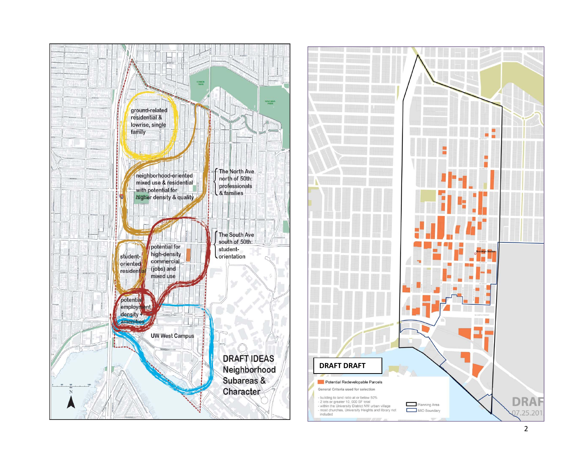

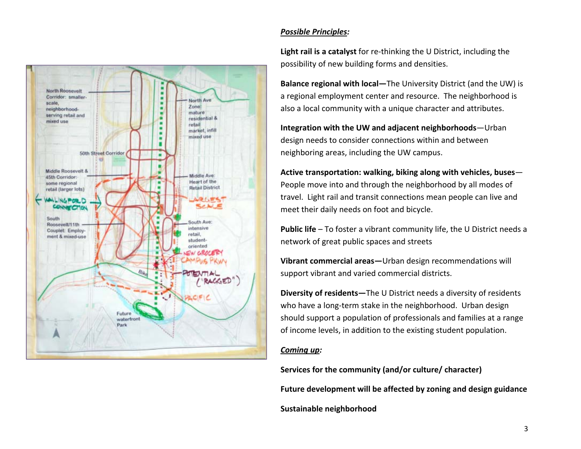

# *Possible Principles:*

**Light rail is <sup>a</sup> catalyst** for re‐thinking the U District, including the possibility of new building forms and densities.

**Balance regional with local—**The University District (and the UW) is a regional employment center and resource. The neighborhood is also <sup>a</sup> local community with <sup>a</sup> unique character and attributes.

**Integration with the UW and adjacent neighborhoods**—Urban design needs to consider connections within and between neighboring areas, including the UW campus.

**Active transportation: walking, biking along with vehicles, buses**— People move into and through the neighborhood by all modes of travel. Light rail and transit connections mean people can live and meet their daily needs on foot and bicycle.

**Public life** – To foster <sup>a</sup> vibrant community life, the U District needs <sup>a</sup> network of great public spaces and streets

**Vibrant commercial areas—**Urban design recommendations will support vibrant and varied commercial districts.

**Diversity of residents—**The U District needs <sup>a</sup> diversity of residents who have <sup>a</sup> long‐term stake in the neighborhood. Urban design should support <sup>a</sup> population of professionals and families at <sup>a</sup> range of income levels, in addition to the existing student population.

## *Coming up:*

**Services for the community (and/or culture/ character) Future development will be affected by zoning and design guidance Sustainable neighborhood**